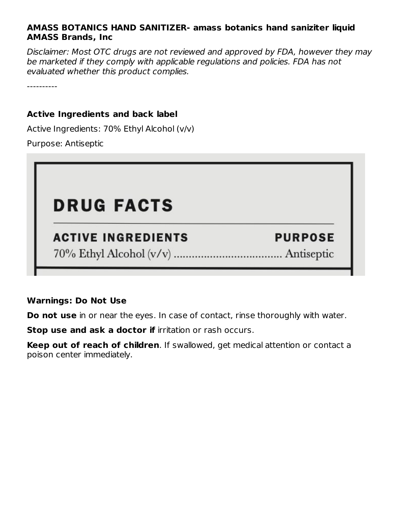#### **AMASS BOTANICS HAND SANITIZER- amass botanics hand saniziter liquid AMASS Brands, Inc**

Disclaimer: Most OTC drugs are not reviewed and approved by FDA, however they may be marketed if they comply with applicable regulations and policies. FDA has not evaluated whether this product complies.

----------

#### **Active Ingredients and back label**

Active Ingredients: 70% Ethyl Alcohol (v/v)

Purpose: Antiseptic

## **DRUG FACTS**

### **ACTIVE INGREDIENTS**

**PURPOSE** 

#### **Warnings: Do Not Use**

**Do not use** in or near the eyes. In case of contact, rinse thoroughly with water.

**Stop use and ask a doctor if** irritation or rash occurs.

**Keep out of reach of children**. If swallowed, get medical attention or contact a poison center immediately.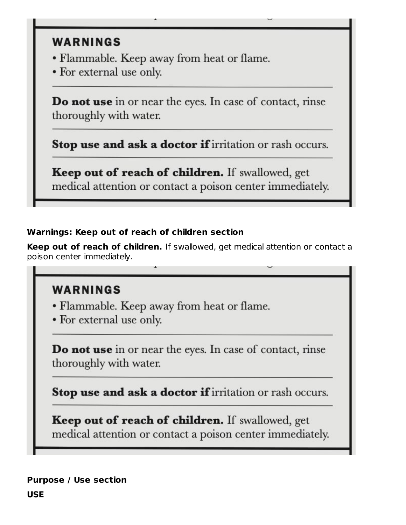## **WARNINGS**

- Flammable. Keep away from heat or flame.
- For external use only.

**Do not use** in or near the eyes. In case of contact, rinse thoroughly with water.

Stop use and ask a doctor if irritation or rash occurs.

Keep out of reach of children. If swallowed, get medical attention or contact a poison center immediately.

#### **Warnings: Keep out of reach of children section**

**Keep out of reach of children.** If swallowed, get medical attention or contact a poison center immediately.

## **WARNINGS**

- Flammable. Keep away from heat or flame.
- For external use only.

**Do not use** in or near the eyes. In case of contact, rinse thoroughly with water.

Stop use and ask a doctor if irritation or rash occurs.

**Keep out of reach of children.** If swallowed, get medical attention or contact a poison center immediately.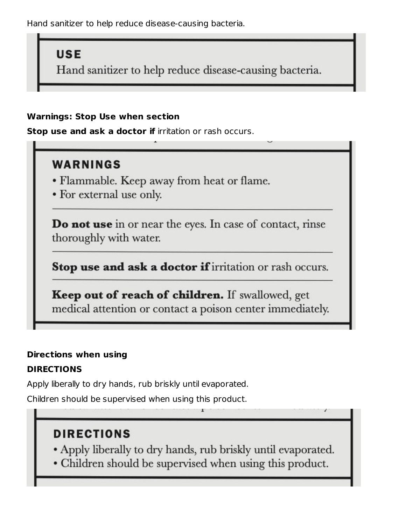Hand sanitizer to help reduce disease-causing bacteria.

## **USE**

Hand sanitizer to help reduce disease-causing bacteria.

#### **Warnings: Stop Use when section**

**Stop use and ask a doctor if** irritation or rash occurs.

## **WARNINGS**

- Flammable. Keep away from heat or flame.
- For external use only.

Do not use in or near the eyes. In case of contact, rinse thoroughly with water.

Stop use and ask a doctor if irritation or rash occurs.

**Keep out of reach of children.** If swallowed, get medical attention or contact a poison center immediately.

#### **Directions when using**

#### **DIRECTIONS**

Apply liberally to dry hands, rub briskly until evaporated.

Children should be supervised when using this product.

## **DIRECTIONS**

- Apply liberally to dry hands, rub briskly until evaporated.
- Children should be supervised when using this product.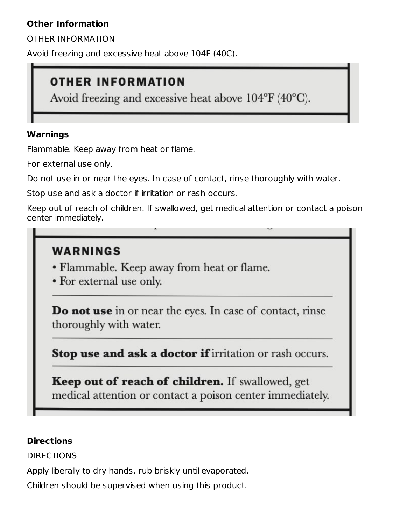#### **Other Information**

OTHER INFORMATION

Avoid freezing and excessive heat above 104F (40C).

## **OTHER INFORMATION**

Avoid freezing and excessive heat above  $104^{\circ}F(40^{\circ}C)$ .

#### **Warnings**

Flammable. Keep away from heat or flame.

For external use only.

Do not use in or near the eyes. In case of contact, rinse thoroughly with water.

Stop use and ask a doctor if irritation or rash occurs.

Keep out of reach of children. If swallowed, get medical attention or contact a poison center immediately.

## WARNINGS

- Flammable. Keep away from heat or flame.
- For external use only.

**Do not use** in or near the eyes. In case of contact, rinse thoroughly with water.

Stop use and ask a doctor if irritation or rash occurs.

Keep out of reach of children. If swallowed, get medical attention or contact a poison center immediately.

#### **Directions**

DIRECTIONS

Apply liberally to dry hands, rub briskly until evaporated.

Children should be supervised when using this product.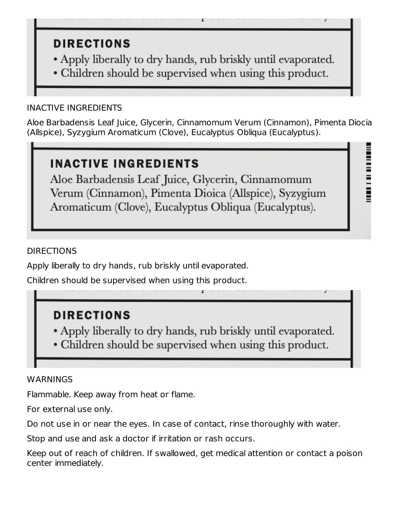## **DIRECTIONS**

- Apply liberally to dry hands, rub briskly until evaporated.
- Children should be supervised when using this product.

#### INACTIVE INGREDIENTS

Aloe Barbadensis Leaf Juice, Glycerin, Cinnamomum Verum (Cinnamon), Pimenta Diocia (Allspice), Syzygium Aromaticum (Clove), Eucalyptus Obliqua (Eucalyptus).

## INACTIVE INGREDIENTS

Aloe Barbadensis Leaf Juice, Glycerin, Cinnamomum Verum (Cinnamon), Pimenta Dioica (Allspice), Syzygium Aromaticum (Clove), Eucalyptus Obliqua (Eucalyptus).

#### DIRECTIONS

Apply liberally to dry hands, rub briskly until evaporated.

Children should be supervised when using this product.

## **DIRECTIONS**

- . Apply liberally to dry hands, rub briskly until evaporated.
- Children should be supervised when using this product.

#### **WARNINGS**

Flammable. Keep away from heat or flame.

For external use only.

Do not use in or near the eyes. In case of contact, rinse thoroughly with water.

Stop and use and ask a doctor if irritation or rash occurs.

Keep out of reach of children. If swallowed, get medical attention or contact a poison center immediately.

1181 | 1181 | 1181 | 1181 | 1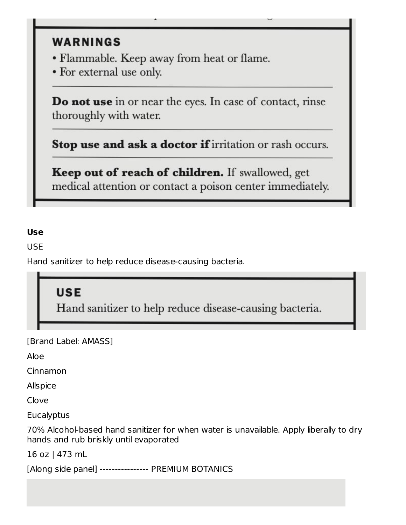## **WARNINGS**

- Flammable. Keep away from heat or flame.
- For external use only.

**Do not use** in or near the eyes. In case of contact, rinse thoroughly with water.

Stop use and ask a doctor if irritation or rash occurs.

Keep out of reach of children. If swallowed, get medical attention or contact a poison center immediately.

#### **Use**

USE

Hand sanitizer to help reduce disease-causing bacteria.

## **USE**

Hand sanitizer to help reduce disease-causing bacteria.

[Brand Label: AMASS]

Aloe

Cinnamon

Allspice

Clove

**Eucalyptus** 

70% Alcohol-based hand sanitizer for when water is unavailable. Apply liberally to dry hands and rub briskly until evaporated

16 oz | 473 mL

[Along side panel] ---------------- PREMIUM BOTANICS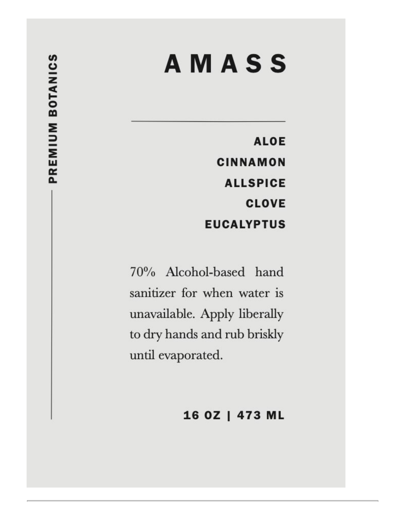# **AMASS**

**ALOE CINNAMON ALLSPICE CLOVE EUCALYPTUS** 

70% Alcohol-based hand sanitizer for when water is unavailable. Apply liberally to dry hands and rub briskly until evaporated.

## 16 OZ | 473 ML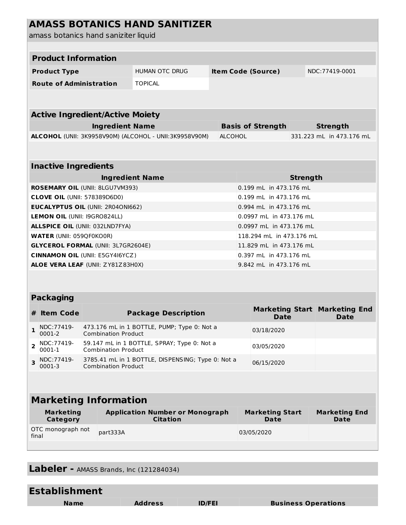### **AMASS BOTANICS HAND SANITIZER**

| amass botanics hand saniziter liquid                   |                                                                                 |                |                                |            |                                              |  |  |  |
|--------------------------------------------------------|---------------------------------------------------------------------------------|----------------|--------------------------------|------------|----------------------------------------------|--|--|--|
|                                                        |                                                                                 |                |                                |            |                                              |  |  |  |
| <b>Product Information</b>                             |                                                                                 |                |                                |            |                                              |  |  |  |
| <b>Product Type</b>                                    | <b>HUMAN OTC DRUG</b>                                                           |                | <b>Item Code (Source)</b>      |            | NDC:77419-0001                               |  |  |  |
| <b>Route of Administration</b>                         | <b>TOPICAL</b>                                                                  |                |                                |            |                                              |  |  |  |
|                                                        |                                                                                 |                |                                |            |                                              |  |  |  |
|                                                        |                                                                                 |                |                                |            |                                              |  |  |  |
| <b>Active Ingredient/Active Moiety</b>                 |                                                                                 |                |                                |            |                                              |  |  |  |
|                                                        | <b>Ingredient Name</b><br><b>Basis of Strength</b>                              |                |                                |            | <b>Strength</b>                              |  |  |  |
| ALCOHOL (UNII: 3K9958V90M) (ALCOHOL - UNII:3K9958V90M) |                                                                                 | <b>ALCOHOL</b> |                                |            | 331.223 mL in 473.176 mL                     |  |  |  |
|                                                        |                                                                                 |                |                                |            |                                              |  |  |  |
| <b>Inactive Ingredients</b>                            |                                                                                 |                |                                |            |                                              |  |  |  |
| <b>Ingredient Name</b>                                 |                                                                                 |                | <b>Strength</b>                |            |                                              |  |  |  |
| ROSEMARY OIL (UNII: 8LGU7VM393)                        |                                                                                 |                | 0.199 mL in 473.176 mL         |            |                                              |  |  |  |
| <b>CLOVE OIL (UNII: 578389D6D0)</b>                    |                                                                                 |                | 0.199 mL in 473.176 mL         |            |                                              |  |  |  |
| <b>EUCALYPTUS OIL (UNII: 2R04ON1662)</b>               |                                                                                 |                | 0.994 mL in 473.176 mL         |            |                                              |  |  |  |
| LEMON OIL (UNII: I9GRO824LL)                           |                                                                                 |                | 0.0997 mL in 473.176 mL        |            |                                              |  |  |  |
| <b>ALLSPICE OIL (UNII: 032LND7FYA)</b>                 |                                                                                 |                | 0.0997 mL in 473.176 mL        |            |                                              |  |  |  |
| <b>WATER (UNII: 059QF0KO0R)</b>                        |                                                                                 |                | 118.294 mL in 473.176 mL       |            |                                              |  |  |  |
| <b>GLYCEROL FORMAL (UNII: 3L7GR2604E)</b>              |                                                                                 |                | 11.829 mL in 473.176 mL        |            |                                              |  |  |  |
| <b>CINNAMON OIL (UNII: E5GY4I6YCZ)</b>                 |                                                                                 |                | 0.397 mL in 473.176 mL         |            |                                              |  |  |  |
| ALOE VERA LEAF (UNII: ZY81Z83H0X)                      |                                                                                 |                | 9.842 mL in 473.176 mL         |            |                                              |  |  |  |
|                                                        |                                                                                 |                |                                |            |                                              |  |  |  |
|                                                        |                                                                                 |                |                                |            |                                              |  |  |  |
| <b>Packaging</b>                                       |                                                                                 |                |                                |            |                                              |  |  |  |
| # Item Code                                            | <b>Package Description</b>                                                      |                |                                | Date       | <b>Marketing Start Marketing End</b><br>Date |  |  |  |
| NDC: 77419-<br>0001-2                                  | 473.176 mL in 1 BOTTLE, PUMP; Type 0: Not a<br><b>Combination Product</b>       |                | 03/18/2020                     |            |                                              |  |  |  |
| NDC: 77419-<br>$\overline{2}$<br>0001-1                | 59.147 mL in 1 BOTTLE, SPRAY; Type 0: Not a<br><b>Combination Product</b>       |                |                                | 03/05/2020 |                                              |  |  |  |
| NDC: 77419-<br>3<br>0001-3                             | 3785.41 mL in 1 BOTTLE, DISPENSING; Type 0: Not a<br><b>Combination Product</b> |                |                                | 06/15/2020 |                                              |  |  |  |
|                                                        |                                                                                 |                |                                |            |                                              |  |  |  |
|                                                        |                                                                                 |                |                                |            |                                              |  |  |  |
| <b>Marketing Information</b>                           |                                                                                 |                |                                |            |                                              |  |  |  |
| <b>Marketing</b><br><b>Category</b>                    | <b>Application Number or Monograph</b><br><b>Citation</b>                       |                | <b>Marketing Start</b><br>Date |            | <b>Marketing End</b><br>Date                 |  |  |  |
| OTC monograph not<br>part333A<br>final                 |                                                                                 | 03/05/2020     |                                |            |                                              |  |  |  |
|                                                        |                                                                                 |                |                                |            |                                              |  |  |  |

**Labeler -** AMASS Brands, Inc (121284034)

| <b>Establishment</b> |                |               |                            |
|----------------------|----------------|---------------|----------------------------|
| <b>Name</b>          | <b>Address</b> | <b>ID/FEI</b> | <b>Business Operations</b> |
|                      |                |               |                            |